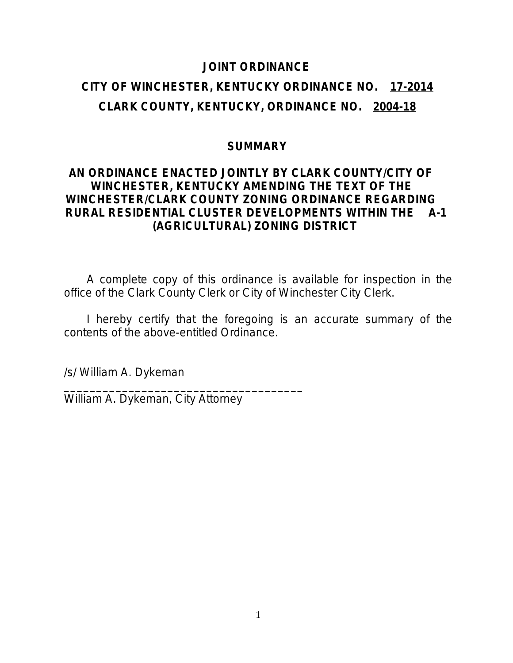### **JOINT ORDINANCE**

## **CITY OF WINCHESTER, KENTUCKY ORDINANCE NO. 17-2014 CLARK COUNTY, KENTUCKY, ORDINANCE NO. 2004-18**

## **SUMMARY**

## **AN ORDINANCE ENACTED JOINTLY BY CLARK COUNTY/CITY OF WINCHESTER, KENTUCKY AMENDING THE TEXT OF THE WINCHESTER/CLARK COUNTY ZONING ORDINANCE REGARDING RURAL RESIDENTIAL CLUSTER DEVELOPMENTS WITHIN THE A-1 (AGRICULTURAL) ZONING DISTRICT**

A complete copy of this ordinance is available for inspection in the office of the Clark County Clerk or City of Winchester City Clerk.

I hereby certify that the foregoing is an accurate summary of the contents of the above-entitled Ordinance.

/s/ William A. Dykeman

William A. Dykeman, City Attorney

**\_\_\_\_\_\_\_\_\_\_\_\_\_\_\_\_\_\_\_\_\_\_\_\_\_\_\_\_\_\_\_\_\_\_\_\_\_**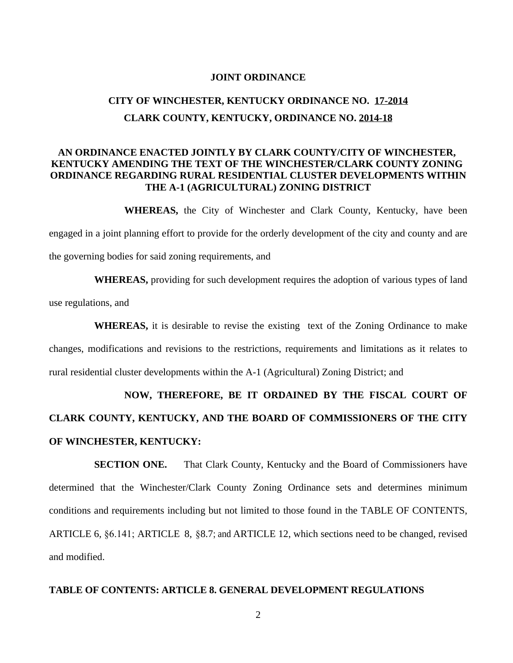#### **JOINT ORDINANCE**

## **CITY OF WINCHESTER, KENTUCKY ORDINANCE NO. 17-2014 CLARK COUNTY, KENTUCKY, ORDINANCE NO. 2014-18**

#### **AN ORDINANCE ENACTED JOINTLY BY CLARK COUNTY/CITY OF WINCHESTER, KENTUCKY AMENDING THE TEXT OF THE WINCHESTER/CLARK COUNTY ZONING ORDINANCE REGARDING RURAL RESIDENTIAL CLUSTER DEVELOPMENTS WITHIN THE A-1 (AGRICULTURAL) ZONING DISTRICT**

**WHEREAS,** the City of Winchester and Clark County, Kentucky, have been engaged in a joint planning effort to provide for the orderly development of the city and county and are the governing bodies for said zoning requirements, and

**WHEREAS,** providing for such development requires the adoption of various types of land use regulations, and

**WHEREAS,** it is desirable to revise the existing text of the Zoning Ordinance to make changes, modifications and revisions to the restrictions, requirements and limitations as it relates to rural residential cluster developments within the A-1 (Agricultural) Zoning District; and

# **NOW, THEREFORE, BE IT ORDAINED BY THE FISCAL COURT OF CLARK COUNTY, KENTUCKY, AND THE BOARD OF COMMISSIONERS OF THE CITY OF WINCHESTER, KENTUCKY:**

**SECTION ONE.** That Clark County, Kentucky and the Board of Commissioners have determined that the Winchester/Clark County Zoning Ordinance sets and determines minimum conditions and requirements including but not limited to those found in the TABLE OF CONTENTS, ARTICLE 6, §6.141; ARTICLE 8, §8.7; and ARTICLE 12, which sections need to be changed, revised and modified.

#### **TABLE OF CONTENTS: ARTICLE 8. GENERAL DEVELOPMENT REGULATIONS**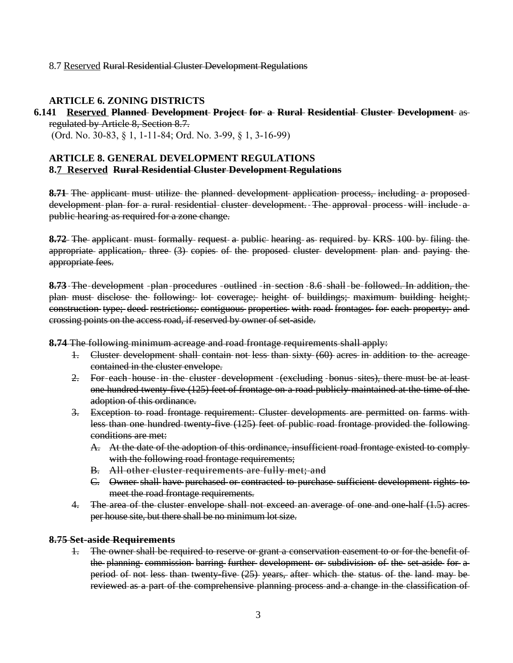#### 8.7 Reserved Rural Residential Cluster Development Regulations

#### **ARTICLE 6. ZONING DISTRICTS**

#### **6.141 Reserved Planned Development Project for a Rural Residential Cluster Development** as regulated by Article 8, Section 8.7.

(Ord. No. 30-83, § 1, 1-11-84; Ord. No. 3-99, § 1, 3-16-99)

#### **ARTICLE 8. GENERAL DEVELOPMENT REGULATIONS 8.7 Reserved Rural Residential Cluster Development Regulations**

8.71- The applicant must utilize the planned development application process, including a proposeddevelopment plan for a rural residential cluster development. The approval process will include a public hearing as required for a zone change.

**8.72** The applicant must formally request a public hearing as required by KRS 100 by filing the appropriate application, three (3) copies of the proposed cluster development plan and paying the appropriate fees.

8.73 The development -plan -procedures -outlined -in-section -8.6 shall -be -followed. In addition, the plan must disclose the following: lot coverage; height of buildings; maximum building height; construction type; deed restrictions; contiguous properties with road frontages for each property; and crossing points on the access road, if reserved by owner of set-aside.

**8.74** The following minimum acreage and road frontage requirements shall apply:

- 1. Cluster development shall contain not less than sixty (60) acres in addition to the acreage contained in the cluster envelope.
- 2. For-each-house-in-the-cluster-development-(excluding -bonus-sites), there must be at leastone hundred twenty-five (125) feet of frontage on a road publicly maintained at the time of the adoption of this ordinance.
- 3. Exception to road frontage requirement: Cluster developments are permitted on farms with less than one hundred twenty-five (125) feet of public road frontage provided the following conditions are met:
	- A. At the date of the adoption of this ordinance, insufficient road frontage existed to comply with the following road frontage requirements;
	- B. All other cluster requirements are fully met; and
	- C. Owner shall have purchased or contracted to purchase sufficient development rights to meet the road frontage requirements.
- 4. The area of the cluster envelope shall not exceed an average of one and one half (1.5) acres per house site, but there shall be no minimum lot size.

#### **8.75 Set-aside Requirements**

1. The owner shall be required to reserve or grant a conservation easement to or for the benefit of the planning commission barring further development or subdivision of the set-aside for a period of not less than twenty-five (25) years, after which the status of the land may be reviewed as a part of the comprehensive planning process and a change in the classification of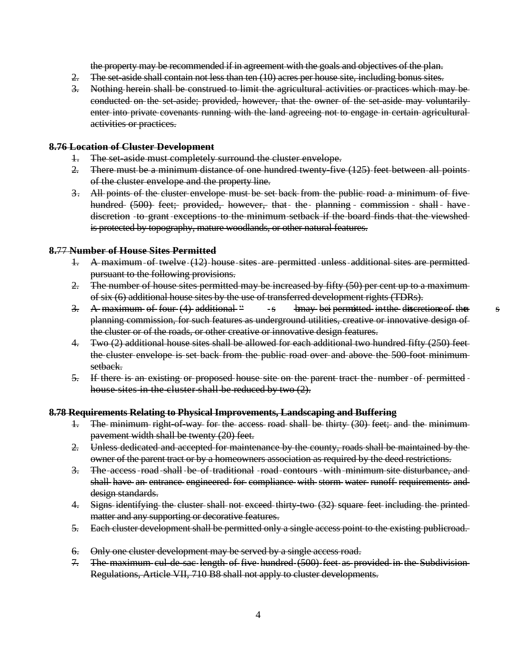the property may be recommended if in agreement with the goals and objectives of the plan.

- 2. The set-aside shall contain not less than ten (10) acres per house site, including bonus sites.
- 3. Nothing herein shall be construed to limit the agricultural activities or practices which may be conducted on the set-aside; provided, however, that the owner of the set-aside may voluntarily enter into private covenants running with the land agreeing not to engage in certain agriculturalactivities or practices.

#### **8.76 Location of Cluster Development**

- 1. The set-aside must completely surround the cluster envelope.
- 2. There must be a minimum distance of one hundred twenty-five (125) feet between all points of the cluster envelope and the property line.
- 3. All points of the cluster envelope must be set back from the public road a minimum of five hundred (500) feet; provided, however, that the planning commission - shall have discretion -to-grant -exceptions to the minimum setback if the board finds that the viewshedis protected by topography, mature woodlands, or other natural features.

#### **8.**77 **Number of House Sites Permitted**

setback.

- 1. A maximum of twelve (12) house sites are permitted unless additional sites are permitted pursuant to the following provisions.
- 2. The number of house sites permitted may be increased by fifty (50) per cent up to a maximum of six (6) additional house sites by the use of transferred development rights (TDRs).
- 3. A maximum of four  $(4)$  additional  $\degree$  s bmay bei permitted intime discretion of the s planning commission, for such features as underground utilities, creative or innovative design of the cluster or of the roads, or other creative or innovative design features.
- 4. Two (2) additional house sites shall be allowed for each additional two hundred fifty (250) feet the cluster envelope is set back from the public road over and above the 500-foot minimum
- 5. If there is an existing or proposed house site on the parent tract the number of permitted house sites in the cluster shall be reduced by two (2).

#### **8.78 Requirements Relating to Physical Improvements, Landscaping and Buffering**

- 1. The minimum right-of-way for the access road shall be thirty (30) feet; and the minimum pavement width shall be twenty (20) feet.
- 2. Unless dedicated and accepted for maintenance by the county, roads shall be maintained by the owner of the parent tract or by a homeowners association as required by the deed restrictions.
- 3. The access road shall be of traditional road contours with minimum site disturbance, and shall have an entrance engineered for compliance with storm water runoff requirements and design standards.
- 4. Signs identifying the cluster shall not exceed thirty-two (32) square feet including the printed matter and any supporting or decorative features.
- 5. Each cluster development shall be permitted only a single access point to the existing publicroad.
- 6. Only one cluster development may be served by a single access road.
- 7. The maximum cul-de-sac length of five hundred (500) feet as provided in the Subdivision Regulations, Article VII, 710 B8 shall not apply to cluster developments.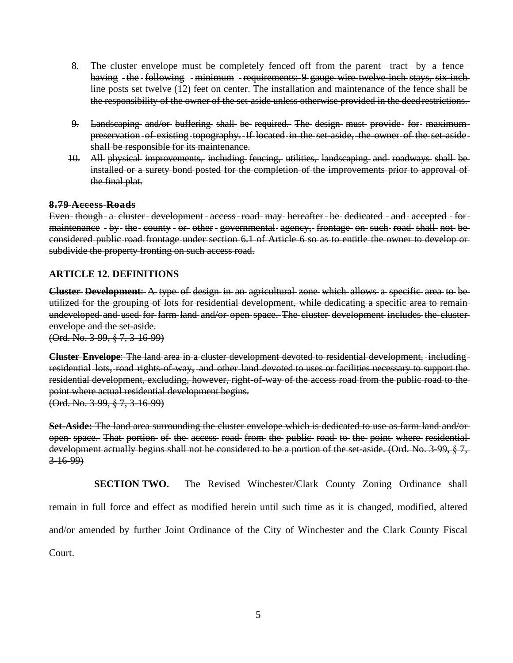- 8. The cluster envelope must be completely fenced off from the parent  $-$  tract  $-$  by  $a$  fence  $$ having - the - following - minimum - requirements: 9 gauge wire twelve-inch stays, six-inchline posts set twelve (12) feet on center. The installation and maintenance of the fence shall be the responsibility of the owner of the set-aside unless otherwise provided in the deed restrictions.
- 9. Landscaping and/or buffering shall be required. The design must provide for maximum preservation - of existing topography. If located in the set-aside, the owner of the set-aside shall be responsible for its maintenance.
- 10. All physical improvements, including fencing, utilities, landscaping and roadways shall be installed or a surety bond posted for the completion of the improvements prior to approval of the final plat.

#### **8.79 Access Roads**

Even-though-a-cluster-development-access-road-may-hereafter-be-dedicated - and-accepted - formaintenance - by the county - or other - governmental agency, frontage on such road shall not be considered public road frontage under section 6.1 of Article 6 so as to entitle the owner to develop or subdivide the property fronting on such access road.

#### **ARTICLE 12. DEFINITIONS**

**Cluster Development**: A type of design in an agricultural zone which allows a specific area to be utilized for the grouping of lots for residential development, while dedicating a specific area to remain undeveloped and used for farm land and/or open space. The cluster development includes the cluster envelope and the set-aside.

(Ord. No. 3-99, § 7, 3-16-99)

**Cluster Envelope**: The land area in a cluster development devoted to residential development, including residential lots, road rights-of-way, and other land devoted to uses or facilities necessary to support the residential development, excluding, however, right-of-way of the access road from the public road to the point where actual residential development begins. (Ord. No. 3-99, § 7, 3-16-99)

**Set-Aside:** The land area surrounding the cluster envelope which is dedicated to use as farm land and/or open space. That portion of the access road from the public road to the point where residential development actually begins shall not be considered to be a portion of the set-aside. (Ord. No. 3-99, § 7, 3-16-99)

**SECTION TWO.** The Revised Winchester/Clark County Zoning Ordinance shall remain in full force and effect as modified herein until such time as it is changed, modified, altered and/or amended by further Joint Ordinance of the City of Winchester and the Clark County Fiscal Court.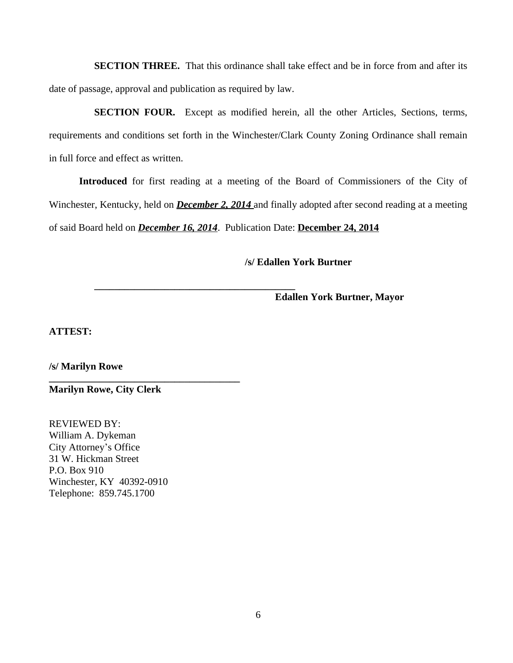**SECTION THREE.** That this ordinance shall take effect and be in force from and after its date of passage, approval and publication as required by law.

**SECTION FOUR.** Except as modified herein, all the other Articles, Sections, terms, requirements and conditions set forth in the Winchester/Clark County Zoning Ordinance shall remain in full force and effect as written.

**Introduced** for first reading at a meeting of the Board of Commissioners of the City of Winchester, Kentucky, held on *December 2, 2014* and finally adopted after second reading at a meeting of said Board held on *December 16, 2014*. Publication Date: **December 24, 2014**

**\_\_\_\_\_\_\_\_\_\_\_\_\_\_\_\_\_\_\_\_\_\_\_\_\_\_\_\_\_\_\_\_\_\_\_\_\_\_\_\_**

**/s/ Edallen York Burtner**

**Edallen York Burtner, Mayor**

**ATTEST:**

**/s/ Marilyn Rowe**

**Marilyn Rowe, City Clerk**

**\_\_\_\_\_\_\_\_\_\_\_\_\_\_\_\_\_\_\_\_\_\_\_\_\_\_\_\_\_\_\_\_\_\_\_\_\_\_**

REVIEWED BY: William A. Dykeman City Attorney's Office 31 W. Hickman Street P.O. Box 910 Winchester, KY 40392-0910 Telephone: 859.745.1700